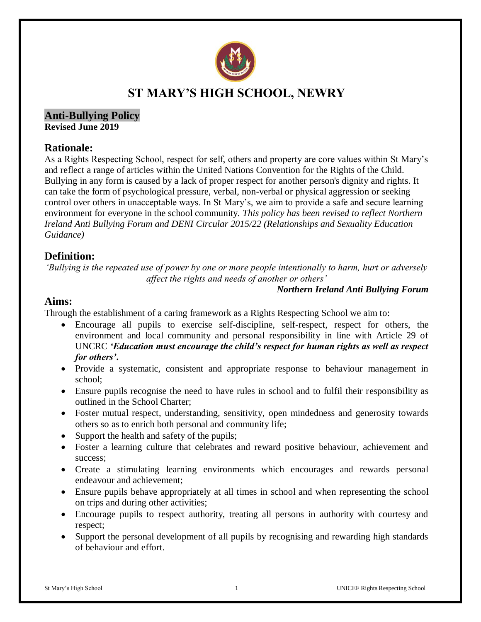

# **ST MARY'S HIGH SCHOOL, NEWRY**

#### **Anti-Bullying Policy Revised June 2019**

### **Rationale:**

As a Rights Respecting School, respect for self, others and property are core values within St Mary's and reflect a range of articles within the United Nations Convention for the Rights of the Child. Bullying in any form is caused by a lack of proper respect for another person's dignity and rights. It can take the form of psychological pressure, verbal, non-verbal or physical aggression or seeking control over others in unacceptable ways. In St Mary's, we aim to provide a safe and secure learning environment for everyone in the school community. *This policy has been revised to reflect Northern Ireland Anti Bullying Forum and DENI Circular 2015/22 (Relationships and Sexuality Education Guidance)*

## **Definition:**

*'Bullying is the repeated use of power by one or more people intentionally to harm, hurt or adversely affect the rights and needs of another or others'*

#### *Northern Ireland Anti Bullying Forum*

### **Aims:**

Through the establishment of a caring framework as a Rights Respecting School we aim to:

- Encourage all pupils to exercise self-discipline, self-respect, respect for others, the environment and local community and personal responsibility in line with Article 29 of UNCRC *'Education must encourage the child's respect for human rights as well as respect for others'***.**
- Provide a systematic, consistent and appropriate response to behaviour management in school;
- Ensure pupils recognise the need to have rules in school and to fulfil their responsibility as outlined in the School Charter;
- Foster mutual respect, understanding, sensitivity, open mindedness and generosity towards others so as to enrich both personal and community life;
- Support the health and safety of the pupils;
- Foster a learning culture that celebrates and reward positive behaviour, achievement and success;
- Create a stimulating learning environments which encourages and rewards personal endeavour and achievement;
- Ensure pupils behave appropriately at all times in school and when representing the school on trips and during other activities;
- Encourage pupils to respect authority, treating all persons in authority with courtesy and respect;
- Support the personal development of all pupils by recognising and rewarding high standards of behaviour and effort.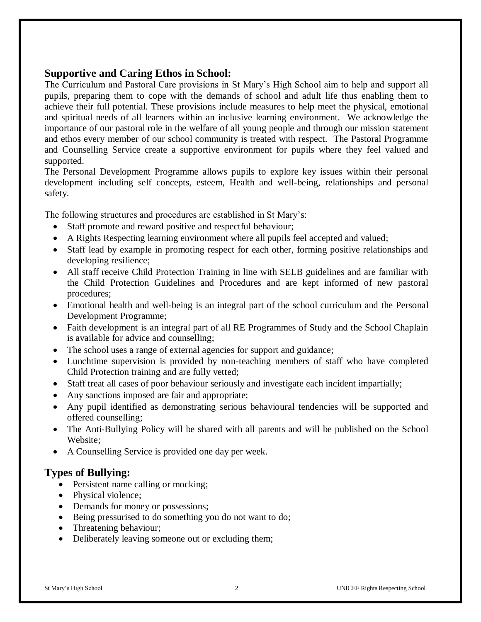## **Supportive and Caring Ethos in School:**

The Curriculum and Pastoral Care provisions in St Mary's High School aim to help and support all pupils, preparing them to cope with the demands of school and adult life thus enabling them to achieve their full potential. These provisions include measures to help meet the physical, emotional and spiritual needs of all learners within an inclusive learning environment. We acknowledge the importance of our pastoral role in the welfare of all young people and through our mission statement and ethos every member of our school community is treated with respect. The Pastoral Programme and Counselling Service create a supportive environment for pupils where they feel valued and supported.

The Personal Development Programme allows pupils to explore key issues within their personal development including self concepts, esteem, Health and well-being, relationships and personal safety.

The following structures and procedures are established in St Mary's:

- Staff promote and reward positive and respectful behaviour;
- A Rights Respecting learning environment where all pupils feel accepted and valued;
- Staff lead by example in promoting respect for each other, forming positive relationships and developing resilience;
- All staff receive Child Protection Training in line with SELB guidelines and are familiar with the Child Protection Guidelines and Procedures and are kept informed of new pastoral procedures;
- Emotional health and well-being is an integral part of the school curriculum and the Personal Development Programme;
- Faith development is an integral part of all RE Programmes of Study and the School Chaplain is available for advice and counselling;
- The school uses a range of external agencies for support and guidance;
- Lunchtime supervision is provided by non-teaching members of staff who have completed Child Protection training and are fully vetted;
- Staff treat all cases of poor behaviour seriously and investigate each incident impartially;
- Any sanctions imposed are fair and appropriate;
- Any pupil identified as demonstrating serious behavioural tendencies will be supported and offered counselling;
- The Anti-Bullying Policy will be shared with all parents and will be published on the School Website;
- A Counselling Service is provided one day per week.

## **Types of Bullying:**

- Persistent name calling or mocking;
- Physical violence;
- Demands for money or possessions;
- Being pressurised to do something you do not want to do;
- Threatening behaviour;
- Deliberately leaving someone out or excluding them;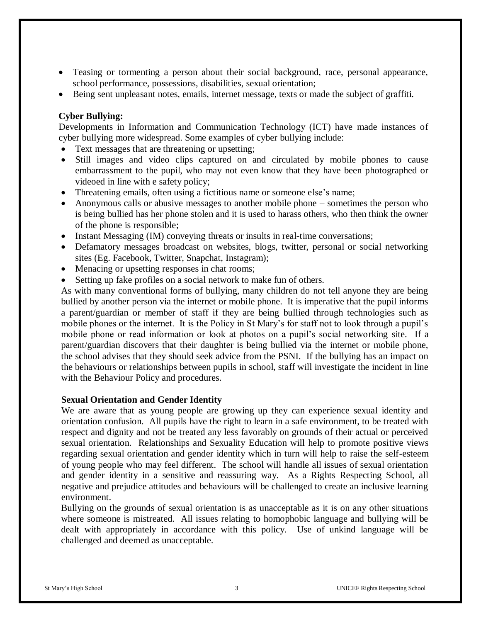- Teasing or tormenting a person about their social background, race, personal appearance, school performance, possessions, disabilities, sexual orientation;
- Being sent unpleasant notes, emails, internet message, texts or made the subject of graffiti.

#### **Cyber Bullying:**

Developments in Information and Communication Technology (ICT) have made instances of cyber bullying more widespread. Some examples of cyber bullying include:

- Text messages that are threatening or upsetting;
- Still images and video clips captured on and circulated by mobile phones to cause embarrassment to the pupil, who may not even know that they have been photographed or videoed in line with e safety policy;
- Threatening emails, often using a fictitious name or someone else's name;
- Anonymous calls or abusive messages to another mobile phone sometimes the person who is being bullied has her phone stolen and it is used to harass others, who then think the owner of the phone is responsible;
- Instant Messaging (IM) conveying threats or insults in real-time conversations;
- Defamatory messages broadcast on websites, blogs, twitter, personal or social networking sites (Eg. Facebook, Twitter, Snapchat, Instagram);
- Menacing or upsetting responses in chat rooms;
- Setting up fake profiles on a social network to make fun of others.

As with many conventional forms of bullying, many children do not tell anyone they are being bullied by another person via the internet or mobile phone. It is imperative that the pupil informs a parent/guardian or member of staff if they are being bullied through technologies such as mobile phones or the internet. It is the Policy in St Mary's for staff not to look through a pupil's mobile phone or read information or look at photos on a pupil's social networking site. If a parent/guardian discovers that their daughter is being bullied via the internet or mobile phone, the school advises that they should seek advice from the PSNI. If the bullying has an impact on the behaviours or relationships between pupils in school, staff will investigate the incident in line with the Behaviour Policy and procedures.

#### **Sexual Orientation and Gender Identity**

We are aware that as young people are growing up they can experience sexual identity and orientation confusion. All pupils have the right to learn in a safe environment, to be treated with respect and dignity and not be treated any less favorably on grounds of their actual or perceived sexual orientation. Relationships and Sexuality Education will help to promote positive views regarding sexual orientation and gender identity which in turn will help to raise the self-esteem of young people who may feel different. The school will handle all issues of sexual orientation and gender identity in a sensitive and reassuring way. As a Rights Respecting School, all negative and prejudice attitudes and behaviours will be challenged to create an inclusive learning environment.

Bullying on the grounds of sexual orientation is as unacceptable as it is on any other situations where someone is mistreated. All issues relating to homophobic language and bullying will be dealt with appropriately in accordance with this policy. Use of unkind language will be challenged and deemed as unacceptable.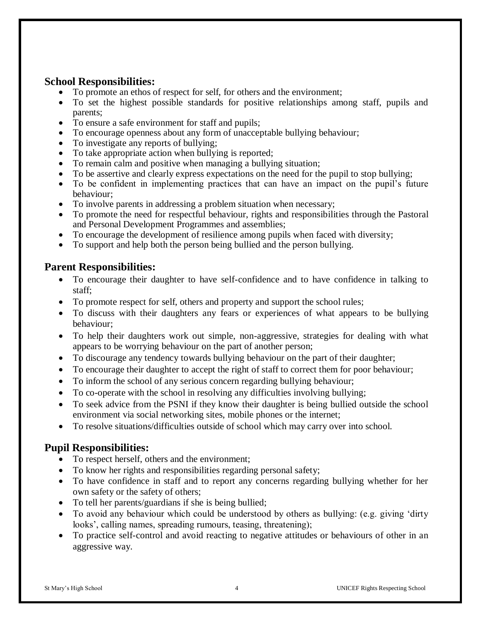## **School Responsibilities:**

- To promote an ethos of respect for self, for others and the environment;
- To set the highest possible standards for positive relationships among staff, pupils and parents;
- To ensure a safe environment for staff and pupils;
- To encourage openness about any form of unacceptable bullying behaviour;
- To investigate any reports of bullying;
- To take appropriate action when bullying is reported;
- To remain calm and positive when managing a bullying situation;
- To be assertive and clearly express expectations on the need for the pupil to stop bullying;
- To be confident in implementing practices that can have an impact on the pupil's future behaviour;
- To involve parents in addressing a problem situation when necessary;
- To promote the need for respectful behaviour, rights and responsibilities through the Pastoral and Personal Development Programmes and assemblies;
- To encourage the development of resilience among pupils when faced with diversity;
- To support and help both the person being bullied and the person bullying.

## **Parent Responsibilities:**

- To encourage their daughter to have self-confidence and to have confidence in talking to staff;
- To promote respect for self, others and property and support the school rules;
- To discuss with their daughters any fears or experiences of what appears to be bullying behaviour;
- To help their daughters work out simple, non-aggressive, strategies for dealing with what appears to be worrying behaviour on the part of another person;
- To discourage any tendency towards bullying behaviour on the part of their daughter;
- To encourage their daughter to accept the right of staff to correct them for poor behaviour;
- To inform the school of any serious concern regarding bullying behaviour;
- To co-operate with the school in resolving any difficulties involving bullying;
- To seek advice from the PSNI if they know their daughter is being bullied outside the school environment via social networking sites, mobile phones or the internet;
- To resolve situations/difficulties outside of school which may carry over into school.

## **Pupil Responsibilities:**

- To respect herself, others and the environment;
- To know her rights and responsibilities regarding personal safety;
- To have confidence in staff and to report any concerns regarding bullying whether for her own safety or the safety of others;
- To tell her parents/guardians if she is being bullied;
- To avoid any behaviour which could be understood by others as bullying: (e.g. giving 'dirty looks', calling names, spreading rumours, teasing, threatening);
- To practice self-control and avoid reacting to negative attitudes or behaviours of other in an aggressive way.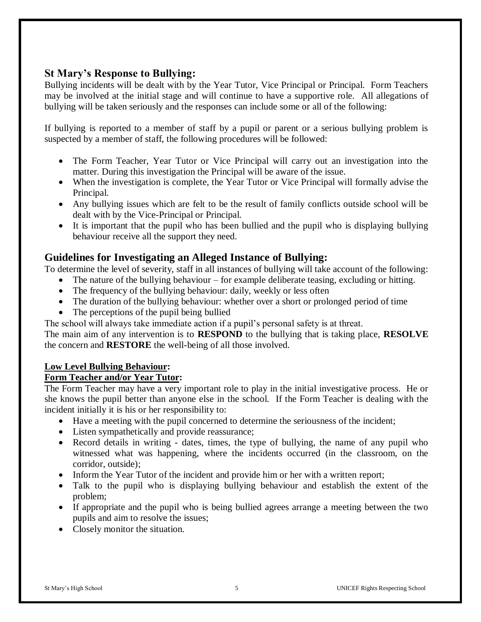## **St Mary's Response to Bullying:**

Bullying incidents will be dealt with by the Year Tutor, Vice Principal or Principal. Form Teachers may be involved at the initial stage and will continue to have a supportive role. All allegations of bullying will be taken seriously and the responses can include some or all of the following:

If bullying is reported to a member of staff by a pupil or parent or a serious bullying problem is suspected by a member of staff, the following procedures will be followed:

- The Form Teacher, Year Tutor or Vice Principal will carry out an investigation into the matter. During this investigation the Principal will be aware of the issue.
- When the investigation is complete, the Year Tutor or Vice Principal will formally advise the Principal.
- Any bullying issues which are felt to be the result of family conflicts outside school will be dealt with by the Vice-Principal or Principal.
- It is important that the pupil who has been bullied and the pupil who is displaying bullying behaviour receive all the support they need.

### **Guidelines for Investigating an Alleged Instance of Bullying:**

To determine the level of severity, staff in all instances of bullying will take account of the following:

- The nature of the bullying behaviour for example deliberate teasing, excluding or hitting.
- The frequency of the bullying behaviour: daily, weekly or less often
- The duration of the bullying behaviour: whether over a short or prolonged period of time
- The perceptions of the pupil being bullied

The school will always take immediate action if a pupil's personal safety is at threat.

The main aim of any intervention is to **RESPOND** to the bullying that is taking place, **RESOLVE** the concern and **RESTORE** the well-being of all those involved.

### **Low Level Bullying Behaviour:**

#### **Form Teacher and/or Year Tutor:**

The Form Teacher may have a very important role to play in the initial investigative process. He or she knows the pupil better than anyone else in the school. If the Form Teacher is dealing with the incident initially it is his or her responsibility to:

- Have a meeting with the pupil concerned to determine the seriousness of the incident;
- Listen sympathetically and provide reassurance;
- Record details in writing dates, times, the type of bullying, the name of any pupil who witnessed what was happening, where the incidents occurred (in the classroom, on the corridor, outside);
- Inform the Year Tutor of the incident and provide him or her with a written report;
- Talk to the pupil who is displaying bullying behaviour and establish the extent of the problem;
- If appropriate and the pupil who is being bullied agrees arrange a meeting between the two pupils and aim to resolve the issues;
- Closely monitor the situation.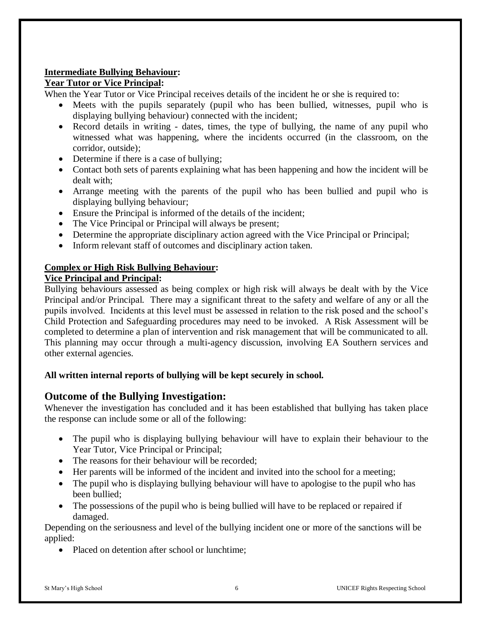#### **Intermediate Bullying Behaviour:**

### **Year Tutor or Vice Principal:**

When the Year Tutor or Vice Principal receives details of the incident he or she is required to:

- Meets with the pupils separately (pupil who has been bullied, witnesses, pupil who is displaying bullying behaviour) connected with the incident;
- Record details in writing dates, times, the type of bullying, the name of any pupil who witnessed what was happening, where the incidents occurred (in the classroom, on the corridor, outside);
- Determine if there is a case of bullying;
- Contact both sets of parents explaining what has been happening and how the incident will be dealt with;
- Arrange meeting with the parents of the pupil who has been bullied and pupil who is displaying bullying behaviour;
- Ensure the Principal is informed of the details of the incident;
- The Vice Principal or Principal will always be present;
- Determine the appropriate disciplinary action agreed with the Vice Principal or Principal;
- Inform relevant staff of outcomes and disciplinary action taken.

#### **Complex or High Risk Bullying Behaviour:**

#### **Vice Principal and Principal:**

Bullying behaviours assessed as being complex or high risk will always be dealt with by the Vice Principal and/or Principal. There may a significant threat to the safety and welfare of any or all the pupils involved. Incidents at this level must be assessed in relation to the risk posed and the school's Child Protection and Safeguarding procedures may need to be invoked. A Risk Assessment will be completed to determine a plan of intervention and risk management that will be communicated to all. This planning may occur through a multi-agency discussion, involving EA Southern services and other external agencies.

### **All written internal reports of bullying will be kept securely in school.**

## **Outcome of the Bullying Investigation:**

Whenever the investigation has concluded and it has been established that bullying has taken place the response can include some or all of the following:

- The pupil who is displaying bullying behaviour will have to explain their behaviour to the Year Tutor, Vice Principal or Principal;
- The reasons for their behaviour will be recorded:
- Her parents will be informed of the incident and invited into the school for a meeting;
- The pupil who is displaying bullying behaviour will have to apologise to the pupil who has been bullied;
- The possessions of the pupil who is being bullied will have to be replaced or repaired if damaged.

Depending on the seriousness and level of the bullying incident one or more of the sanctions will be applied:

• Placed on detention after school or lunchtime;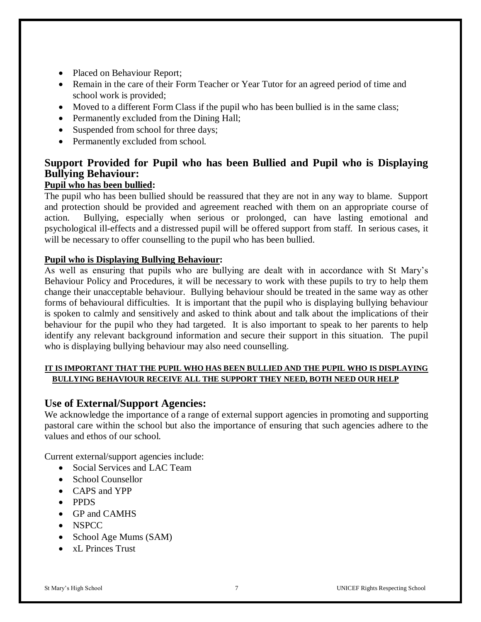- Placed on Behaviour Report;
- Remain in the care of their Form Teacher or Year Tutor for an agreed period of time and school work is provided;
- Moved to a different Form Class if the pupil who has been bullied is in the same class;
- Permanently excluded from the Dining Hall;
- Suspended from school for three days;
- Permanently excluded from school.

# **Support Provided for Pupil who has been Bullied and Pupil who is Displaying Bullying Behaviour:**

### **Pupil who has been bullied:**

The pupil who has been bullied should be reassured that they are not in any way to blame. Support and protection should be provided and agreement reached with them on an appropriate course of action. Bullying, especially when serious or prolonged, can have lasting emotional and psychological ill-effects and a distressed pupil will be offered support from staff. In serious cases, it will be necessary to offer counselling to the pupil who has been bullied.

#### **Pupil who is Displaying Bullying Behaviour:**

As well as ensuring that pupils who are bullying are dealt with in accordance with St Mary's Behaviour Policy and Procedures, it will be necessary to work with these pupils to try to help them change their unacceptable behaviour. Bullying behaviour should be treated in the same way as other forms of behavioural difficulties. It is important that the pupil who is displaying bullying behaviour is spoken to calmly and sensitively and asked to think about and talk about the implications of their behaviour for the pupil who they had targeted. It is also important to speak to her parents to help identify any relevant background information and secure their support in this situation. The pupil who is displaying bullying behaviour may also need counselling.

#### **IT IS IMPORTANT THAT THE PUPIL WHO HAS BEEN BULLIED AND THE PUPIL WHO IS DISPLAYING BULLYING BEHAVIOUR RECEIVE ALL THE SUPPORT THEY NEED, BOTH NEED OUR HELP**

### **Use of External/Support Agencies:**

We acknowledge the importance of a range of external support agencies in promoting and supporting pastoral care within the school but also the importance of ensuring that such agencies adhere to the values and ethos of our school.

Current external/support agencies include:

- Social Services and LAC Team
- School Counsellor
- CAPS and YPP
- PPDS
- GP and CAMHS
- NSPCC
- School Age Mums (SAM)
- xL Princes Trust